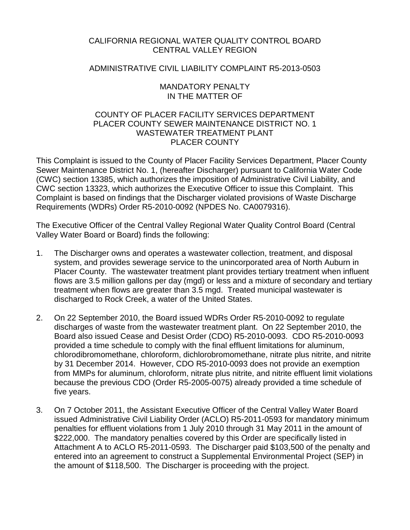# CALIFORNIA REGIONAL WATER QUALITY CONTROL BOARD CENTRAL VALLEY REGION

# ADMINISTRATIVE CIVIL LIABILITY COMPLAINT R5-2013-0503

## MANDATORY PENALTY IN THE MATTER OF

# COUNTY OF PLACER FACILITY SERVICES DEPARTMENT PLACER COUNTY SEWER MAINTENANCE DISTRICT NO. 1 WASTEWATER TREATMENT PLANT PLACER COUNTY

This Complaint is issued to the County of Placer Facility Services Department, Placer County Sewer Maintenance District No. 1, (hereafter Discharger) pursuant to California Water Code (CWC) section 13385, which authorizes the imposition of Administrative Civil Liability, and CWC section 13323, which authorizes the Executive Officer to issue this Complaint. This Complaint is based on findings that the Discharger violated provisions of Waste Discharge Requirements (WDRs) Order R5-2010-0092 (NPDES No. CA0079316).

The Executive Officer of the Central Valley Regional Water Quality Control Board (Central Valley Water Board or Board) finds the following:

- 1. The Discharger owns and operates a wastewater collection, treatment, and disposal system, and provides sewerage service to the unincorporated area of North Auburn in Placer County. The wastewater treatment plant provides tertiary treatment when influent flows are 3.5 million gallons per day (mgd) or less and a mixture of secondary and tertiary treatment when flows are greater than 3.5 mgd. Treated municipal wastewater is discharged to Rock Creek, a water of the United States.
- 2. On 22 September 2010, the Board issued WDRs Order R5-2010-0092 to regulate discharges of waste from the wastewater treatment plant. On 22 September 2010, the Board also issued Cease and Desist Order (CDO) R5-2010-0093. CDO R5-2010-0093 provided a time schedule to comply with the final effluent limitations for aluminum, chlorodibromomethane, chloroform, dichlorobromomethane, nitrate plus nitrite, and nitrite by 31 December 2014. However, CDO R5-2010-0093 does not provide an exemption from MMPs for aluminum, chloroform, nitrate plus nitrite, and nitrite effluent limit violations because the previous CDO (Order R5-2005-0075) already provided a time schedule of five years.
- 3. On 7 October 2011, the Assistant Executive Officer of the Central Valley Water Board issued Administrative Civil Liability Order (ACLO) R5-2011-0593 for mandatory minimum penalties for effluent violations from 1 July 2010 through 31 May 2011 in the amount of \$222,000. The mandatory penalties covered by this Order are specifically listed in Attachment A to ACLO R5-2011-0593. The Discharger paid \$103,500 of the penalty and entered into an agreement to construct a Supplemental Environmental Project (SEP) in the amount of \$118,500. The Discharger is proceeding with the project.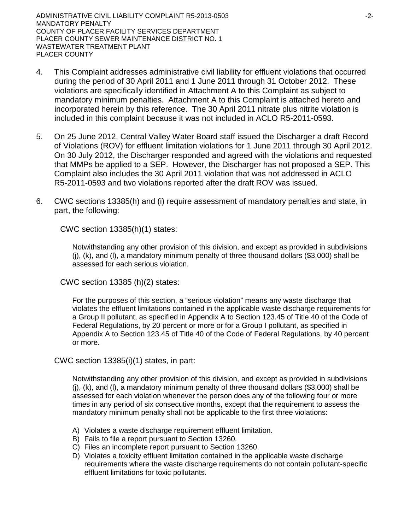ADMINISTRATIVE CIVIL LIABILITY COMPLAINT R5-2013-0503 ADMINISTRATIVE CIVIL LIABILITY COMPLAINT R5-2013-0503 MANDATORY PENALTY COUNTY OF PLACER FACILITY SERVICES DEPARTMENT PLACER COUNTY SEWER MAINTENANCE DISTRICT NO. 1 WASTEWATER TREATMENT PLANT PLACER COUNTY

- 4. This Complaint addresses administrative civil liability for effluent violations that occurred during the period of 30 April 2011 and 1 June 2011 through 31 October 2012. These violations are specifically identified in Attachment A to this Complaint as subject to mandatory minimum penalties. Attachment A to this Complaint is attached hereto and incorporated herein by this reference. The 30 April 2011 nitrate plus nitrite violation is included in this complaint because it was not included in ACLO R5-2011-0593.
- 5. On 25 June 2012, Central Valley Water Board staff issued the Discharger a draft Record of Violations (ROV) for effluent limitation violations for 1 June 2011 through 30 April 2012. On 30 July 2012, the Discharger responded and agreed with the violations and requested that MMPs be applied to a SEP. However, the Discharger has not proposed a SEP. This Complaint also includes the 30 April 2011 violation that was not addressed in ACLO R5-2011-0593 and two violations reported after the draft ROV was issued.
- 6. CWC sections 13385(h) and (i) require assessment of mandatory penalties and state, in part, the following:

CWC section 13385(h)(1) states:

Notwithstanding any other provision of this division, and except as provided in subdivisions (j), (k), and (l), a mandatory minimum penalty of three thousand dollars (\$3,000) shall be assessed for each serious violation.

CWC section 13385 (h)(2) states:

For the purposes of this section, a "serious violation" means any waste discharge that violates the effluent limitations contained in the applicable waste discharge requirements for a Group II pollutant, as specified in Appendix A to Section 123.45 of Title 40 of the Code of Federal Regulations, by 20 percent or more or for a Group I pollutant, as specified in Appendix A to Section 123.45 of Title 40 of the Code of Federal Regulations, by 40 percent or more.

CWC section 13385(i)(1) states, in part:

Notwithstanding any other provision of this division, and except as provided in subdivisions (j), (k), and (l), a mandatory minimum penalty of three thousand dollars (\$3,000) shall be assessed for each violation whenever the person does any of the following four or more times in any period of six consecutive months, except that the requirement to assess the mandatory minimum penalty shall not be applicable to the first three violations:

- A) Violates a waste discharge requirement effluent limitation.
- B) Fails to file a report pursuant to Section 13260.
- C) Files an incomplete report pursuant to Section 13260.
- D) Violates a toxicity effluent limitation contained in the applicable waste discharge requirements where the waste discharge requirements do not contain pollutant-specific effluent limitations for toxic pollutants.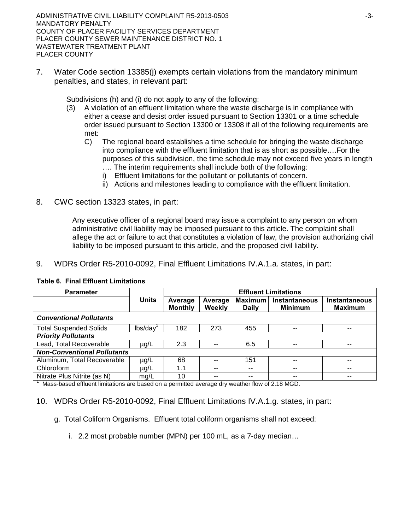ADMINISTRATIVE CIVIL LIABILITY COMPLAINT R5-2013-0503 43-3-MANDATORY PENALTY COUNTY OF PLACER FACILITY SERVICES DEPARTMENT PLACER COUNTY SEWER MAINTENANCE DISTRICT NO. 1 WASTEWATER TREATMENT PLANT PLACER COUNTY

7. Water Code section 13385(j) exempts certain violations from the mandatory minimum penalties, and states, in relevant part:

Subdivisions (h) and (i) do not apply to any of the following:

- (3) A violation of an effluent limitation where the waste discharge is in compliance with either a cease and desist order issued pursuant to Section 13301 or a time schedule order issued pursuant to Section 13300 or 13308 if all of the following requirements are met:
	- C) The regional board establishes a time schedule for bringing the waste discharge into compliance with the effluent limitation that is as short as possible….For the purposes of this subdivision, the time schedule may not exceed five years in length …. The interim requirements shall include both of the following:
		- i) Effluent limitations for the pollutant or pollutants of concern.
		- ii) Actions and milestones leading to compliance with the effluent limitation.
- 8. CWC section 13323 states, in part:

Any executive officer of a regional board may issue a complaint to any person on whom administrative civil liability may be imposed pursuant to this article. The complaint shall allege the act or failure to act that constitutes a violation of law, the provision authorizing civil liability to be imposed pursuant to this article, and the proposed civil liability.

9. WDRs Order R5-2010-0092, Final Effluent Limitations IV.A.1.a. states, in part:

| <b>Parameter</b>                                                                               |              | <b>Effluent Limitations</b> |                   |                                |                                 |                                        |
|------------------------------------------------------------------------------------------------|--------------|-----------------------------|-------------------|--------------------------------|---------------------------------|----------------------------------------|
|                                                                                                | <b>Units</b> | Average<br><b>Monthly</b>   | Average<br>Weekly | <b>Maximum</b><br><b>Daily</b> | Instantaneous<br><b>Minimum</b> | <b>Instantaneous</b><br><b>Maximum</b> |
| <b>Conventional Pollutants</b>                                                                 |              |                             |                   |                                |                                 |                                        |
| <b>Total Suspended Solids</b>                                                                  | lbs/day      | 182                         | 273               | 455                            |                                 | --                                     |
| <b>Priority Pollutants</b>                                                                     |              |                             |                   |                                |                                 |                                        |
| Lead, Total Recoverable                                                                        | µg/L         | 2.3                         |                   | 6.5                            | --                              | --                                     |
| <b>Non-Conventional Pollutants</b>                                                             |              |                             |                   |                                |                                 |                                        |
| Aluminum, Total Recoverable                                                                    | µg/L         | 68                          |                   | 151                            |                                 | --                                     |
| Chloroform                                                                                     | $\mu$ g/L    | 1.1                         |                   | --                             |                                 | --                                     |
| Nitrate Plus Nitrite (as N)                                                                    | mg/L         | 10                          |                   | --                             |                                 | --                                     |
| Mass-based effluent limitations are based on a permitted average dry weather flow of 2.18 MGD. |              |                             |                   |                                |                                 |                                        |

#### **Table 6. Final Effluent Limitations**

10. WDRs Order R5-2010-0092, Final Effluent Limitations IV.A.1.g. states, in part:

g. Total Coliform Organisms. Effluent total coliform organisms shall not exceed:

i. 2.2 most probable number (MPN) per 100 mL, as a 7-day median…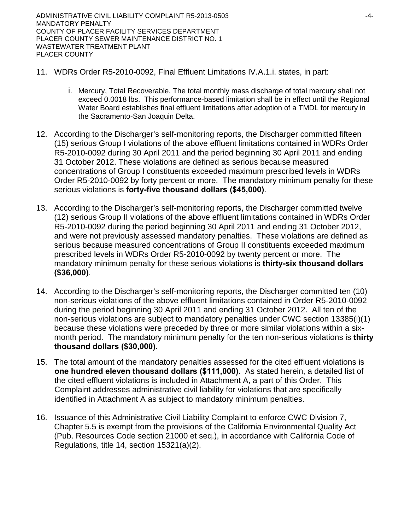- 11. WDRs Order R5-2010-0092, Final Effluent Limitations IV.A.1.i. states, in part:
	- i. Mercury, Total Recoverable. The total monthly mass discharge of total mercury shall not exceed 0.0018 lbs. This performance-based limitation shall be in effect until the Regional Water Board establishes final effluent limitations after adoption of a TMDL for mercury in the Sacramento-San Joaquin Delta.
- 12. According to the Discharger's self-monitoring reports, the Discharger committed fifteen (15) serious Group I violations of the above effluent limitations contained in WDRs Order R5-2010-0092 during 30 April 2011 and the period beginning 30 April 2011 and ending 31 October 2012. These violations are defined as serious because measured concentrations of Group I constituents exceeded maximum prescribed levels in WDRs Order R5-2010-0092 by forty percent or more. The mandatory minimum penalty for these serious violations is **forty-five thousand dollars (\$45,000)**.
- 13. According to the Discharger's self-monitoring reports, the Discharger committed twelve (12) serious Group II violations of the above effluent limitations contained in WDRs Order R5-2010-0092 during the period beginning 30 April 2011 and ending 31 October 2012, and were not previously assessed mandatory penalties. These violations are defined as serious because measured concentrations of Group II constituents exceeded maximum prescribed levels in WDRs Order R5-2010-0092 by twenty percent or more. The mandatory minimum penalty for these serious violations is **thirty-six thousand dollars (\$36,000)**.
- 14. According to the Discharger's self-monitoring reports, the Discharger committed ten (10) non-serious violations of the above effluent limitations contained in Order R5-2010-0092 during the period beginning 30 April 2011 and ending 31 October 2012. All ten of the non-serious violations are subject to mandatory penalties under CWC section 13385(i)(1) because these violations were preceded by three or more similar violations within a sixmonth period. The mandatory minimum penalty for the ten non-serious violations is **thirty thousand dollars (\$30,000).**
- 15. The total amount of the mandatory penalties assessed for the cited effluent violations is **one hundred eleven thousand dollars (\$111,000).** As stated herein, a detailed list of the cited effluent violations is included in Attachment A, a part of this Order. This Complaint addresses administrative civil liability for violations that are specifically identified in Attachment A as subject to mandatory minimum penalties.
- 16. Issuance of this Administrative Civil Liability Complaint to enforce CWC Division 7, Chapter 5.5 is exempt from the provisions of the California Environmental Quality Act (Pub. Resources Code section 21000 et seq.), in accordance with California Code of Regulations, title 14, section 15321(a)(2).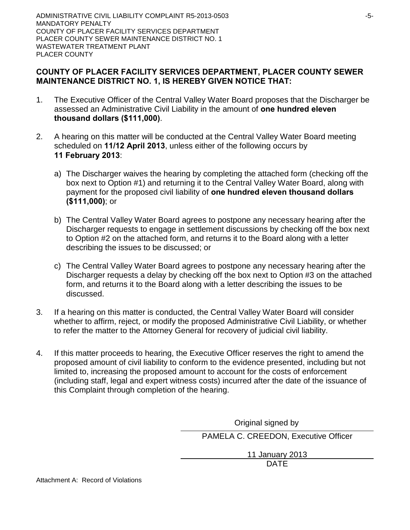# **COUNTY OF PLACER FACILITY SERVICES DEPARTMENT, PLACER COUNTY SEWER MAINTENANCE DISTRICT NO. 1, IS HEREBY GIVEN NOTICE THAT:**

- 1. The Executive Officer of the Central Valley Water Board proposes that the Discharger be assessed an Administrative Civil Liability in the amount of **one hundred eleven thousand dollars (\$111,000)**.
- 2. A hearing on this matter will be conducted at the Central Valley Water Board meeting scheduled on **11/12 April 2013**, unless either of the following occurs by **11 February 2013**:
	- a) The Discharger waives the hearing by completing the attached form (checking off the box next to Option #1) and returning it to the Central Valley Water Board, along with payment for the proposed civil liability of **one hundred eleven thousand dollars (\$111,000)**; or
	- b) The Central Valley Water Board agrees to postpone any necessary hearing after the Discharger requests to engage in settlement discussions by checking off the box next to Option #2 on the attached form, and returns it to the Board along with a letter describing the issues to be discussed; or
	- c) The Central Valley Water Board agrees to postpone any necessary hearing after the Discharger requests a delay by checking off the box next to Option #3 on the attached form, and returns it to the Board along with a letter describing the issues to be discussed.
- 3. If a hearing on this matter is conducted, the Central Valley Water Board will consider whether to affirm, reject, or modify the proposed Administrative Civil Liability, or whether to refer the matter to the Attorney General for recovery of judicial civil liability.
- 4. If this matter proceeds to hearing, the Executive Officer reserves the right to amend the proposed amount of civil liability to conform to the evidence presented, including but not limited to, increasing the proposed amount to account for the costs of enforcement (including staff, legal and expert witness costs) incurred after the date of the issuance of this Complaint through completion of the hearing.

Original signed by

PAMELA C. CREEDON, Executive Officer

11 January 2013 DATE

Attachment A: Record of Violations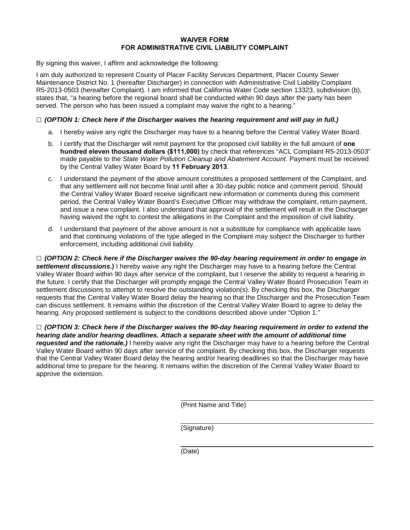#### **WAIVER FORM FOR ADMINISTRATIVE CIVIL LIABILITY COMPLAINT**

By signing this waiver, I affirm and acknowledge the following:

I am duly authorized to represent County of Placer Facility Services Department, Placer County Sewer Maintenance District No. 1 (hereafter Discharger) in connection with Administrative Civil Liability Complaint R5-2013-0503 (hereafter Complaint). I am informed that California Water Code section 13323, subdivision (b), states that, "a hearing before the regional board shall be conducted within 90 days after the party has been served. The person who has been issued a complaint may waive the right to a hearing."

#### **□** *(OPTION 1: Check here if the Discharger waives the hearing requirement and will pay in full.)*

- a. I hereby waive any right the Discharger may have to a hearing before the Central Valley Water Board.
- b. I certify that the Discharger will remit payment for the proposed civil liability in the full amount of **one hundred eleven thousand dollars (\$111,000)** by check that references "ACL Complaint R5-2013-0503" made payable to the *State Water Pollution Cleanup and Abatement Account*. Payment must be received by the Central Valley Water Board by **11 February 2013**.
- c. I understand the payment of the above amount constitutes a proposed settlement of the Complaint, and that any settlement will not become final until after a 30-day public notice and comment period. Should the Central Valley Water Board receive significant new information or comments during this comment period, the Central Valley Water Board's Executive Officer may withdraw the complaint, return payment, and issue a new complaint. I also understand that approval of the settlement will result in the Discharger having waived the right to contest the allegations in the Complaint and the imposition of civil liability.
- d. I understand that payment of the above amount is not a substitute for compliance with applicable laws and that continuing violations of the type alleged in the Complaint may subject the Discharger to further enforcement, including additional civil liability.

**□** *(OPTION 2: Check here if the Discharger waives the 90-day hearing requirement in order to engage in settlement discussions***.)** I hereby waive any right the Discharger may have to a hearing before the Central Valley Water Board within 90 days after service of the complaint, but I reserve the ability to request a hearing in the future. I certify that the Discharger will promptly engage the Central Valley Water Board Prosecution Team in settlement discussions to attempt to resolve the outstanding violation(s). By checking this box, the Discharger requests that the Central Valley Water Board delay the hearing so that the Discharger and the Prosecution Team can discuss settlement. It remains within the discretion of the Central Valley Water Board to agree to delay the hearing. Any proposed settlement is subject to the conditions described above under "Option 1."

**□** *(OPTION 3: Check here if the Discharger waives the 90-day hearing requirement in order to extend the hearing date and/or hearing deadlines. Attach a separate sheet with the amount of additional time requested and the rationale.)* I hereby waive any right the Discharger may have to a hearing before the Central Valley Water Board within 90 days after service of the complaint. By checking this box, the Discharger requests that the Central Valley Water Board delay the hearing and/or hearing deadlines so that the Discharger may have additional time to prepare for the hearing. It remains within the discretion of the Central Valley Water Board to approve the extension.

(Print Name and Title)

(Signature)

(Date)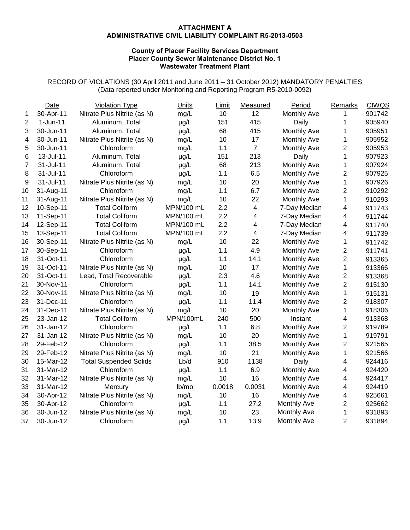#### **ATTACHMENT A ADMINISTRATIVE CIVIL LIABILITY COMPLAINT R5-2013-0503**

#### **County of Placer Facility Services Department Placer County Sewer Maintenance District No. 1 Wastewater Treatment Plant**

RECORD OF VIOLATIONS (30 April 2011 and June 2011 – 31 October 2012) MANDATORY PENALTIES (Data reported under Monitoring and Reporting Program R5-2010-0092)

|                | Date       | <b>Violation Type</b>         | Units      | Limit           | Measured                | Period             | Remarks                 | <b>CIWQS</b> |
|----------------|------------|-------------------------------|------------|-----------------|-------------------------|--------------------|-------------------------|--------------|
| 1              | 30-Apr-11  | Nitrate Plus Nitrite (as N)   | mg/L       | 10 <sup>1</sup> | 12                      | Monthly Ave        | 1                       | 901742       |
| $\overline{2}$ | $1-Jun-11$ | Aluminum, Total               | $\mu$ g/L  | 151             | 415                     | Daily              | 1                       | 905940       |
| 3              | 30-Jun-11  | Aluminum, Total               | $\mu$ g/L  | 68              | 415                     | Monthly Ave        | 1                       | 905951       |
| 4              | 30-Jun-11  | Nitrate Plus Nitrite (as N)   | mg/L       | 10              | 17                      | Monthly Ave        | 1                       | 905952       |
| 5              | 30-Jun-11  | Chloroform                    | mg/L       | 1.1             | $\overline{7}$          | <b>Monthly Ave</b> | $\overline{2}$          | 905953       |
| 6              | 13-Jul-11  | Aluminum, Total               | $\mu$ g/L  | 151             | 213                     | Daily              | 1                       | 907923       |
| $\overline{7}$ | 31-Jul-11  | Aluminum, Total               | $\mu$ g/L  | 68              | 213                     | Monthly Ave        | 1                       | 907924       |
| 8              | 31-Jul-11  | Chloroform                    | $\mu$ g/L  | 1.1             | 6.5                     | <b>Monthly Ave</b> | $\overline{\mathbf{c}}$ | 907925       |
| 9              | 31-Jul-11  | Nitrate Plus Nitrite (as N)   | mg/L       | 10              | 20                      | <b>Monthly Ave</b> | $\mathbf 1$             | 907926       |
| 10             | 31-Aug-11  | Chloroform                    | mg/L       | 1.1             | 6.7                     | <b>Monthly Ave</b> | $\overline{2}$          | 910292       |
| 11             | 31-Aug-11  | Nitrate Plus Nitrite (as N)   | mg/L       | 10              | 22                      | <b>Monthly Ave</b> | 1                       | 910293       |
| 12             | 10-Sep-11  | <b>Total Coliform</b>         | MPN/100 mL | 2.2             | $\overline{\mathbf{4}}$ | 7-Day Median       | 4                       | 911743       |
| 13             | 11-Sep-11  | <b>Total Coliform</b>         | MPN/100 mL | 2.2             | 4                       | 7-Day Median       | 4                       | 911744       |
| 14             | 12-Sep-11  | <b>Total Coliform</b>         | MPN/100 mL | 2.2             | 4                       | 7-Day Median       | 4                       | 911740       |
| 15             | 13-Sep-11  | <b>Total Coliform</b>         | MPN/100 mL | 2.2             | $\overline{\mathbf{4}}$ | 7-Day Median       | 4                       | 911739       |
| 16             | 30-Sep-11  | Nitrate Plus Nitrite (as N)   | mg/L       | 10              | 22                      | Monthly Ave        | 1                       | 911742       |
| 17             | 30-Sep-11  | Chloroform                    | $\mu$ g/L  | 1.1             | 4.9                     | Monthly Ave        | $\overline{2}$          | 911741       |
| 18             | 31-Oct-11  | Chloroform                    | $\mu$ g/L  | 1.1             | 14.1                    | Monthly Ave        | $\overline{2}$          | 913365       |
| 19             | 31-Oct-11  | Nitrate Plus Nitrite (as N)   | mg/L       | 10              | 17                      | Monthly Ave        | 1                       | 913366       |
| 20             | 31-Oct-11  | Lead, Total Recoverable       | $\mu$ g/L  | 2.3             | 4.6                     | Monthly Ave        | $\overline{2}$          | 913368       |
| 21             | 30-Nov-11  | Chloroform                    | $\mu$ g/L  | 1.1             | 14.1                    | Monthly Ave        | $\overline{c}$          | 915130       |
| 22             | 30-Nov-11  | Nitrate Plus Nitrite (as N)   | mg/L       | 10              | 19                      | Monthly Ave        | 1                       | 915131       |
| 23             | 31-Dec-11  | Chloroform                    | $\mu$ g/L  | 1.1             | 11.4                    | <b>Monthly Ave</b> | $\overline{c}$          | 918307       |
| 24             | 31-Dec-11  | Nitrate Plus Nitrite (as N)   | mg/L       | 10              | 20                      | Monthly Ave        | 1                       | 918306       |
| 25             | 23-Jan-12  | <b>Total Coliform</b>         | MPN/100mL  | 240             | 500                     | Instant            | 4                       | 913368       |
| 26             | 31-Jan-12  | Chloroform                    | $\mu g/L$  | 1.1             | 6.8                     | Monthly Ave        | $\overline{c}$          | 919789       |
| 27             | 31-Jan-12  | Nitrate Plus Nitrite (as N)   | mg/L       | 10              | 20                      | <b>Monthly Ave</b> | 1                       | 919791       |
| 28             | 29-Feb-12  | Chloroform                    | $\mu$ g/L  | 1.1             | 38.5                    | <b>Monthly Ave</b> | $\overline{2}$          | 921565       |
| 29             | 29-Feb-12  | Nitrate Plus Nitrite (as N)   | mg/L       | 10              | 21                      | <b>Monthly Ave</b> | 1                       | 921566       |
| 30             | 15-Mar-12  | <b>Total Suspended Solids</b> | Lb/d       | 910             | 1138                    | Daily              | 4                       | 924416       |
| 31             | 31-Mar-12  | Chloroform                    | $\mu$ g/L  | 1.1             | 6.9                     | <b>Monthly Ave</b> | 4                       | 924420       |
| 32             | 31-Mar-12  | Nitrate Plus Nitrite (as N)   | mg/L       | 10              | 16                      | <b>Monthly Ave</b> | 4                       | 924417       |
| 33             | 31-Mar-12  | Mercury                       | lb/mo      | 0.0018          | 0.0031                  | Monthly Ave        | 4                       | 924419       |
| 34             | 30-Apr-12  | Nitrate Plus Nitrite (as N)   | mg/L       | 10              | 16                      | Monthly Ave        | 4                       | 925661       |
| 35             | 30-Apr-12  | Chloroform                    | $\mu$ g/L  | 1.1             | 27.2                    | <b>Monthly Ave</b> | $\overline{c}$          | 925662       |
| 36             | 30-Jun-12  | Nitrate Plus Nitrite (as N)   | mg/L       | 10              | 23                      | <b>Monthly Ave</b> | $\mathbf 1$             | 931893       |
| 37             | 30-Jun-12  | Chloroform                    | $\mu$ g/L  | 1.1             | 13.9                    | Monthly Ave        | $\overline{2}$          | 931894       |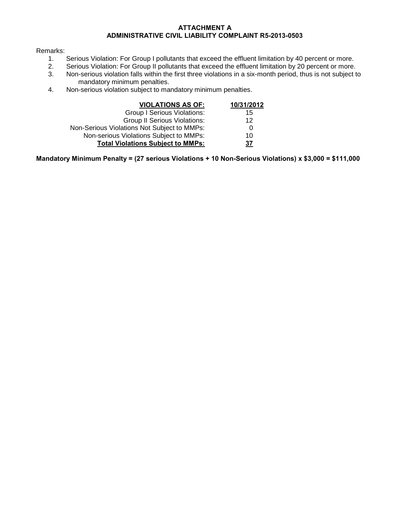#### **ATTACHMENT A ADMINISTRATIVE CIVIL LIABILITY COMPLAINT R5-2013-0503**

# Remarks:<br>1.

- 1. Serious Violation: For Group I pollutants that exceed the effluent limitation by 40 percent or more.<br>2. Serious Violation: For Group II pollutants that exceed the effluent limitation by 20 percent or more.
- 2. Serious Violation: For Group II pollutants that exceed the effluent limitation by 20 percent or more.<br>3. Non-serious violation falls within the first three violations in a six-month period, thus is not subject to
- Non-serious violation falls within the first three violations in a six-month period, thus is not subject to mandatory minimum penalties.
- 4. Non-serious violation subject to mandatory minimum penalties.

| <b>VIOLATIONS AS OF:</b>                    | 10/31/2012 |
|---------------------------------------------|------------|
| <b>Group I Serious Violations:</b>          | 15         |
| <b>Group II Serious Violations:</b>         | 12         |
| Non-Serious Violations Not Subject to MMPs: | 0          |
| Non-serious Violations Subject to MMPs:     | 10         |
| <b>Total Violations Subject to MMPs:</b>    | 37         |

**Mandatory Minimum Penalty = (27 serious Violations + 10 Non-Serious Violations) x \$3,000 = \$111,000**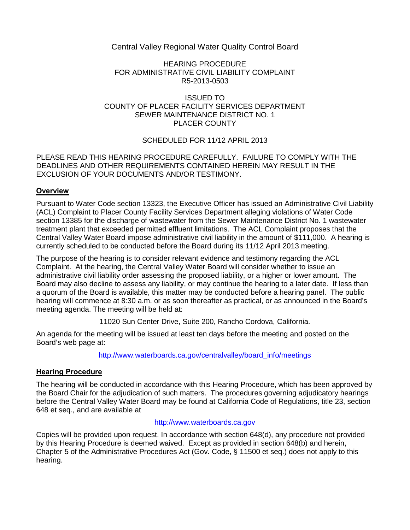# Central Valley Regional Water Quality Control Board

#### HEARING PROCEDURE FOR ADMINISTRATIVE CIVIL LIABILITY COMPLAINT R5-2013-0503

#### ISSUED TO COUNTY OF PLACER FACILITY SERVICES DEPARTMENT SEWER MAINTENANCE DISTRICT NO. 1 PLACER COUNTY

## SCHEDULED FOR 11/12 APRIL 2013

#### PLEASE READ THIS HEARING PROCEDURE CAREFULLY. FAILURE TO COMPLY WITH THE DEADLINES AND OTHER REQUIREMENTS CONTAINED HEREIN MAY RESULT IN THE EXCLUSION OF YOUR DOCUMENTS AND/OR TESTIMONY.

## **Overview**

Pursuant to Water Code section 13323, the Executive Officer has issued an Administrative Civil Liability (ACL) Complaint to Placer County Facility Services Department alleging violations of Water Code section 13385 for the discharge of wastewater from the Sewer Maintenance District No. 1 wastewater treatment plant that exceeded permitted effluent limitations. The ACL Complaint proposes that the Central Valley Water Board impose administrative civil liability in the amount of \$111,000. A hearing is currently scheduled to be conducted before the Board during its 11/12 April 2013 meeting.

The purpose of the hearing is to consider relevant evidence and testimony regarding the ACL Complaint. At the hearing, the Central Valley Water Board will consider whether to issue an administrative civil liability order assessing the proposed liability, or a higher or lower amount. The Board may also decline to assess any liability, or may continue the hearing to a later date. If less than a quorum of the Board is available, this matter may be conducted before a hearing panel. The public hearing will commence at 8:30 a.m. or as soon thereafter as practical, or as announced in the Board's meeting agenda. The meeting will be held at:

11020 Sun Center Drive, Suite 200, Rancho Cordova, California.

An agenda for the meeting will be issued at least ten days before the meeting and posted on the Board's web page at:

## [http://www.waterboards.ca.gov/centralvalley/board\\_info/meetings](http://www.waterboards.ca.gov/centralvalley/board_info/meetings)

## **Hearing Procedure**

The hearing will be conducted in accordance with this Hearing Procedure, which has been approved by the Board Chair for the adjudication of such matters. The procedures governing adjudicatory hearings before the Central Valley Water Board may be found at California Code of Regulations, title 23, section 648 et seq., and are available at

## [http://www.waterboards.ca.gov](http://www.waterboards.ca.gov/)

Copies will be provided upon request. In accordance with section 648(d), any procedure not provided by this Hearing Procedure is deemed waived. Except as provided in section 648(b) and herein, Chapter 5 of the Administrative Procedures Act (Gov. Code, § 11500 et seq.) does not apply to this hearing.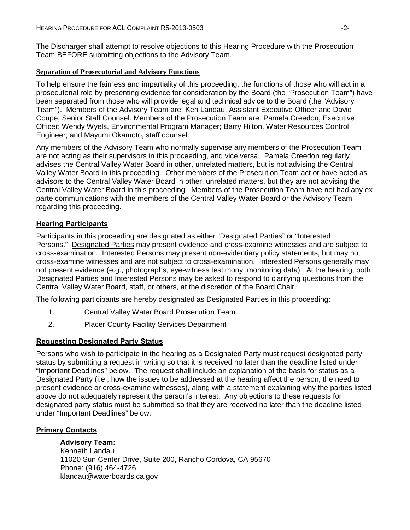The Discharger shall attempt to resolve objections to this Hearing Procedure with the Prosecution Team BEFORE submitting objections to the Advisory Team.

#### **Separation of Prosecutorial and Advisory Functions**

To help ensure the fairness and impartiality of this proceeding, the functions of those who will act in a prosecutorial role by presenting evidence for consideration by the Board (the "Prosecution Team") have been separated from those who will provide legal and technical advice to the Board (the "Advisory Team"). Members of the Advisory Team are: Ken Landau, Assistant Executive Officer and David Coupe, Senior Staff Counsel. Members of the Prosecution Team are: Pamela Creedon, Executive Officer; Wendy Wyels, Environmental Program Manager; Barry Hilton, Water Resources Control Engineer; and Mayumi Okamoto, staff counsel.

Any members of the Advisory Team who normally supervise any members of the Prosecution Team are not acting as their supervisors in this proceeding, and vice versa. Pamela Creedon regularly advises the Central Valley Water Board in other, unrelated matters, but is not advising the Central Valley Water Board in this proceeding. Other members of the Prosecution Team act or have acted as advisors to the Central Valley Water Board in other, unrelated matters, but they are not advising the Central Valley Water Board in this proceeding. Members of the Prosecution Team have not had any ex parte communications with the members of the Central Valley Water Board or the Advisory Team regarding this proceeding.

## **Hearing Participants**

Participants in this proceeding are designated as either "Designated Parties" or "Interested Persons." Designated Parties may present evidence and cross-examine witnesses and are subject to cross-examination. Interested Persons may present non-evidentiary policy statements, but may not cross-examine witnesses and are not subject to cross-examination. Interested Persons generally may not present evidence (e.g., photographs, eye-witness testimony, monitoring data). At the hearing, both Designated Parties and Interested Persons may be asked to respond to clarifying questions from the Central Valley Water Board, staff, or others, at the discretion of the Board Chair.

The following participants are hereby designated as Designated Parties in this proceeding:

- 1. Central Valley Water Board Prosecution Team
- 2. Placer County Facility Services Department

## **Requesting Designated Party Status**

Persons who wish to participate in the hearing as a Designated Party must request designated party status by submitting a request in writing so that it is received no later than the deadline listed under "Important Deadlines" below. The request shall include an explanation of the basis for status as a Designated Party (i.e., how the issues to be addressed at the hearing affect the person, the need to present evidence or cross-examine witnesses), along with a statement explaining why the parties listed above do not adequately represent the person's interest. Any objections to these requests for designated party status must be submitted so that they are received no later than the deadline listed under "Important Deadlines" below.

## **Primary Contacts**

## **Advisory Team:**

Kenneth Landau 11020 Sun Center Drive, Suite 200, Rancho Cordova, CA 95670 Phone: (916) 464-4726 klandau@waterboards.ca.gov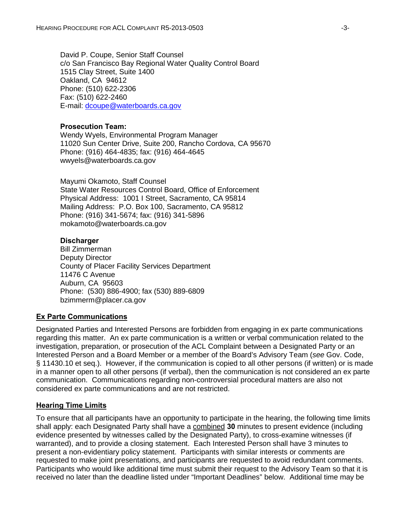David P. Coupe, Senior Staff Counsel c/o San Francisco Bay Regional Water Quality Control Board 1515 Clay Street, Suite 1400 Oakland, CA 94612 Phone: (510) 622-2306 Fax: (510) 622-2460 E-mail: [dcoupe@waterboards.ca.gov](mailto:dcoupe@waterboards.ca.gov)

#### **Prosecution Team:**

Wendy Wyels, Environmental Program Manager 11020 Sun Center Drive, Suite 200, Rancho Cordova, CA 95670 Phone: (916) 464-4835; fax: (916) 464-4645 wwyels@waterboards.ca.gov

Mayumi Okamoto, Staff Counsel State Water Resources Control Board, Office of Enforcement Physical Address: 1001 I Street, Sacramento, CA 95814 Mailing Address: P.O. Box 100, Sacramento, CA 95812 Phone: (916) 341-5674; fax: (916) 341-5896 mokamoto@waterboards.ca.gov

#### **Discharger**

Bill Zimmerman Deputy Director County of Placer Facility Services Department 11476 C Avenue Auburn, CA 95603 Phone: (530) 886-4900; fax (530) 889-6809 bzimmerm@placer.ca.gov

#### **Ex Parte Communications**

Designated Parties and Interested Persons are forbidden from engaging in ex parte communications regarding this matter. An ex parte communication is a written or verbal communication related to the investigation, preparation, or prosecution of the ACL Complaint between a Designated Party or an Interested Person and a Board Member or a member of the Board's Advisory Team (*see* Gov. Code, § 11430.10 et seq.). However, if the communication is copied to all other persons (if written) or is made in a manner open to all other persons (if verbal), then the communication is not considered an ex parte communication. Communications regarding non-controversial procedural matters are also not considered ex parte communications and are not restricted.

#### **Hearing Time Limits**

To ensure that all participants have an opportunity to participate in the hearing, the following time limits shall apply: each Designated Party shall have a combined **30** minutes to present evidence (including evidence presented by witnesses called by the Designated Party), to cross-examine witnesses (if warranted), and to provide a closing statement. Each Interested Person shall have 3 minutes to present a non-evidentiary policy statement. Participants with similar interests or comments are requested to make joint presentations, and participants are requested to avoid redundant comments. Participants who would like additional time must submit their request to the Advisory Team so that it is received no later than the deadline listed under "Important Deadlines" below. Additional time may be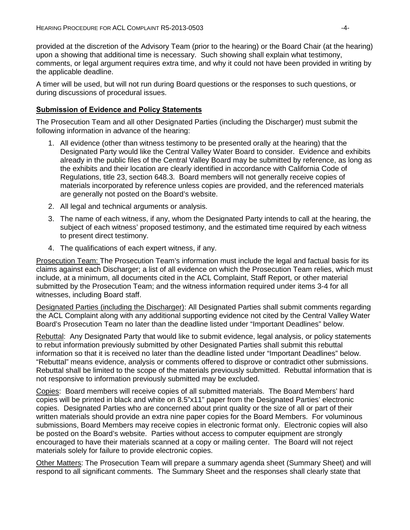provided at the discretion of the Advisory Team (prior to the hearing) or the Board Chair (at the hearing) upon a showing that additional time is necessary. Such showing shall explain what testimony, comments, or legal argument requires extra time, and why it could not have been provided in writing by the applicable deadline.

A timer will be used, but will not run during Board questions or the responses to such questions, or during discussions of procedural issues.

#### **Submission of Evidence and Policy Statements**

The Prosecution Team and all other Designated Parties (including the Discharger) must submit the following information in advance of the hearing:

- 1. All evidence (other than witness testimony to be presented orally at the hearing) that the Designated Party would like the Central Valley Water Board to consider. Evidence and exhibits already in the public files of the Central Valley Board may be submitted by reference, as long as the exhibits and their location are clearly identified in accordance with California Code of Regulations, title 23, section 648.3. Board members will not generally receive copies of materials incorporated by reference unless copies are provided, and the referenced materials are generally not posted on the Board's website.
- 2. All legal and technical arguments or analysis.
- 3. The name of each witness, if any, whom the Designated Party intends to call at the hearing, the subject of each witness' proposed testimony, and the estimated time required by each witness to present direct testimony.
- 4. The qualifications of each expert witness, if any.

Prosecution Team: The Prosecution Team's information must include the legal and factual basis for its claims against each Discharger; a list of all evidence on which the Prosecution Team relies, which must include, at a minimum, all documents cited in the ACL Complaint, Staff Report, or other material submitted by the Prosecution Team; and the witness information required under items 3-4 for all witnesses, including Board staff.

Designated Parties (including the Discharger): All Designated Parties shall submit comments regarding the ACL Complaint along with any additional supporting evidence not cited by the Central Valley Water Board's Prosecution Team no later than the deadline listed under "Important Deadlines" below.

Rebuttal: Any Designated Party that would like to submit evidence, legal analysis, or policy statements to rebut information previously submitted by other Designated Parties shall submit this rebuttal information so that it is received no later than the deadline listed under "Important Deadlines" below. "Rebuttal" means evidence, analysis or comments offered to disprove or contradict other submissions. Rebuttal shall be limited to the scope of the materials previously submitted. Rebuttal information that is not responsive to information previously submitted may be excluded.

Copies: Board members will receive copies of all submitted materials. The Board Members' hard copies will be printed in black and white on 8.5"x11" paper from the Designated Parties' electronic copies. Designated Parties who are concerned about print quality or the size of all or part of their written materials should provide an extra nine paper copies for the Board Members. For voluminous submissions, Board Members may receive copies in electronic format only. Electronic copies will also be posted on the Board's website. Parties without access to computer equipment are strongly encouraged to have their materials scanned at a copy or mailing center. The Board will not reject materials solely for failure to provide electronic copies.

Other Matters: The Prosecution Team will prepare a summary agenda sheet (Summary Sheet) and will respond to all significant comments. The Summary Sheet and the responses shall clearly state that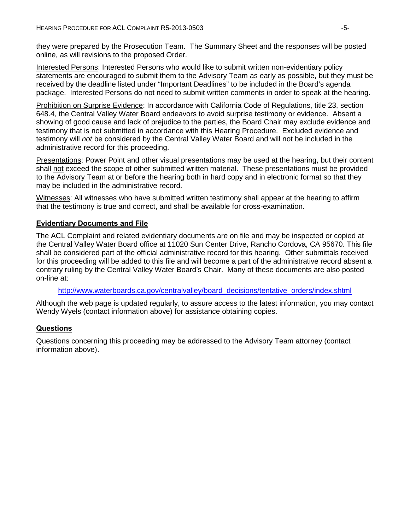they were prepared by the Prosecution Team. The Summary Sheet and the responses will be posted online, as will revisions to the proposed Order.

Interested Persons: Interested Persons who would like to submit written non-evidentiary policy statements are encouraged to submit them to the Advisory Team as early as possible, but they must be received by the deadline listed under "Important Deadlines" to be included in the Board's agenda package. Interested Persons do not need to submit written comments in order to speak at the hearing.

Prohibition on Surprise Evidence: In accordance with California Code of Regulations, title 23, section 648.4, the Central Valley Water Board endeavors to avoid surprise testimony or evidence. Absent a showing of good cause and lack of prejudice to the parties, the Board Chair may exclude evidence and testimony that is not submitted in accordance with this Hearing Procedure. Excluded evidence and testimony will *not* be considered by the Central Valley Water Board and will not be included in the administrative record for this proceeding.

Presentations: Power Point and other visual presentations may be used at the hearing, but their content shall not exceed the scope of other submitted written material. These presentations must be provided to the Advisory Team at or before the hearing both in hard copy and in electronic format so that they may be included in the administrative record.

Witnesses: All witnesses who have submitted written testimony shall appear at the hearing to affirm that the testimony is true and correct, and shall be available for cross-examination.

#### **Evidentiary Documents and File**

The ACL Complaint and related evidentiary documents are on file and may be inspected or copied at the Central Valley Water Board office at 11020 Sun Center Drive, Rancho Cordova, CA 95670. This file shall be considered part of the official administrative record for this hearing. Other submittals received for this proceeding will be added to this file and will become a part of the administrative record absent a contrary ruling by the Central Valley Water Board's Chair. Many of these documents are also posted on-line at:

[http://www.waterboards.ca.gov/centralvalley/board\\_decisions/tentative\\_orders/index.shtml](http://www.waterboards.ca.gov/centralvalley/board_decisions/tentative_orders/index.shtml)

Although the web page is updated regularly, to assure access to the latest information, you may contact Wendy Wyels (contact information above) for assistance obtaining copies.

## **Questions**

Questions concerning this proceeding may be addressed to the Advisory Team attorney (contact information above).